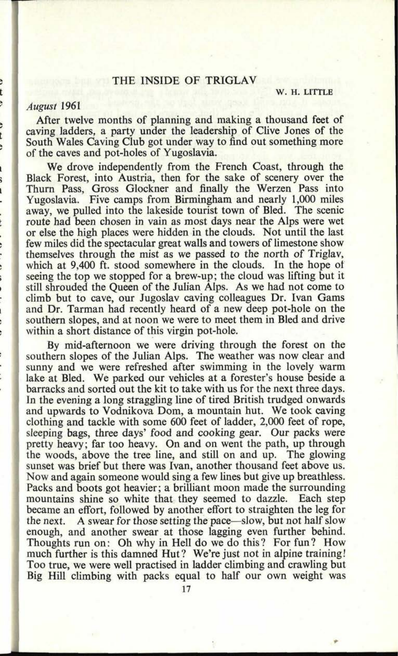# THE INSIDE OF TRIGLAV

**W. H. LITTLE**

## *August* 1961

After twelve months of planning and making a thousand feet of caving ladders, a party under the leadership of Clive Jones of the South Wales Caving Club got under way to find out something more of the caves and pot-holes of Yugoslavia.

We drove independently from the French Coast, through the Black Forest, into Austria, then for the sake of scenery over the Thurn Pass, Gross Glockner and finally the Werzen Pass into Yugoslavia. Five camps from Birmingham and nearly 1,000 miles away, we pulled into the lakeside tourist town of Bled. The scenic route had been chosen in vain as most days near the Alps were wet or else the high places were hidden in the clouds. Not until the last few miles did the spectacular great walls and towers of limestone show themselves through the mist as we passed to the north of Triglav, which at 9,400 ft. stood somewhere in the clouds. In the hope of seeing the top we stopped for a brew-up; the cloud was lifting but it still shrouded the Queen of the Julian Alps. As we had not come to climb but to cave, our Jugoslav caving colleagues Dr. Ivan Gams and Dr. Tarman had recently heard of a new deep pot-hole on the southern slopes, and at noon we were to meet them in Bled and drive within a short distance of this virgin pot-hole.

By mid-afternoon we were driving through the forest on the southern slopes of the Julian Alps. The weather was now clear and sunny and we were refreshed after swimming in the lovely warm lake at Bled. We parked our vehicles at a forester's house beside <sup>a</sup> barracks and sorted out the kit to take with us for the next three days. In the evening a long straggling line of tired British trudged onwards and upwards to Vodnikova Dom, a mountain hut. We took caving clothing and tackle with some 600 feet of ladder, 2,000 feet of rope, sleeping bags, three days' food and cooking gear. Our packs were pretty heavy; far too heavy. On and on went the path, up through the woods, above the tree line, and still on and up. The glowing sunset was brief but there was Ivan, another thousand feet above us. Now and again someone would sing a few lines but give up breathless. Packs and boots got heavier; a brilliant moon made the surrounding mountains shine so white that they seemed to dazzle. Each step mountains shine so white that they seemed to dazzle. became an effort, followed by another effort to straighten the leg for the next. A swear for those setting the pace—slow, but not half slow enough, and another swear at those lagging even further behind. Thoughts run on: Oh why in Hell do we do this? For fun? How much further is this damned Hut? We're just not in alpine training! Too true, we were well practised in ladder climbing and crawling but Big Hill climbing with packs equal to half our own weight was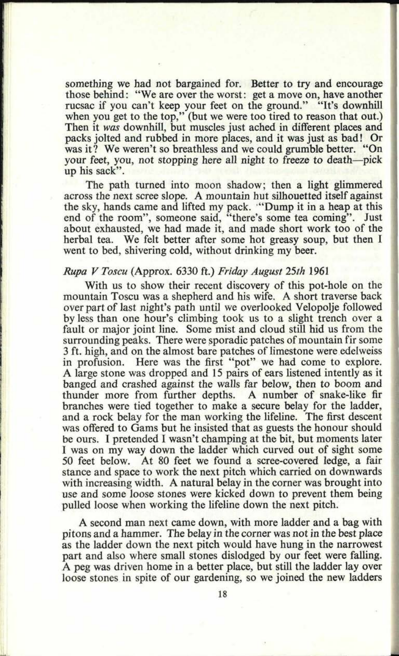something we had not bargained for. Better to try and encourage those behind: "We are over the worst: get a move on, have another rucsac if you can't keep your feet on the ground." "It's downhill when you get to the top," (but we were too tired to reason that out.) Then it *was* downhill, but muscles just ached in different places and packs jolted and rubbed in more places, and it was just as bad! Or was it? We weren't so breathless and we could grumble better. "On your feet, you, not stopping here all night to freeze to death—pick up his sack".

The path turned into moon shadow; then a light glimmered across the next scree slope. A mountain hut silhouetted itself against the sky, hands came and lifted my pack. "Dump it in a heap at this end of the room", someone said, "there's some tea coming". Just about exhausted, we had made it, and made short work too of the herbal tea. We felt better after some hot greasy soup, but then I went to bed, shivering cold, without drinking my beer.

#### *Rupa V Toscu* (Approx. 6330 ft.) *Friday August 25th* 1961

With us to show their recent discovery of this pot-hole on the mountain Toscu was <sup>a</sup>shepherd and his wife. A short traverse back over part of last night's path until we overlooked Velopolje followed by less than one hour's climbing took us to a slight trench over <sup>a</sup> fault or major joint line. Some mist and cloud still hid us from the surrounding peaks. There were sporadic patches of mountain fir some 3 ft. high, and on the almost bare patches of limestone were edelweiss in profusion. Here was the first "pot" we had come to explore. A large stone was dropped and 15 pairs of ears listened intently as it banged and crashed against the walls far below, then to boom and thunder more from further depths. A number of snake-like fir branches were tied together to make a secure belay for the ladder, and a rock belay for the man working the lifeline. The first descent was offered to Gams but he insisted that as guests the honour should be ours. I pretended I wasn't champing at the bit, but moments later I was on my way down the ladder which curved out of sight some 50 feet below. At 80 feet we found a scree-covered ledge, a fair stance and space to work the next pitch which carried on downwards with increasing width. A natural belay in the corner was brought into use and some loose stones were kicked down to prevent them being pulled loose when working the lifeline down the next pitch.

A second man next came down, with more ladder and a bag with pitons and a hammer. The belay in the corner was not in the best place as the ladder down the next pitch would have hung in the narrowest part and also where small stones dislodged by our feet were falling. A peg was driven home in a better place, but still the ladder lay over loose stones in spite of our gardening, so we joined the new ladders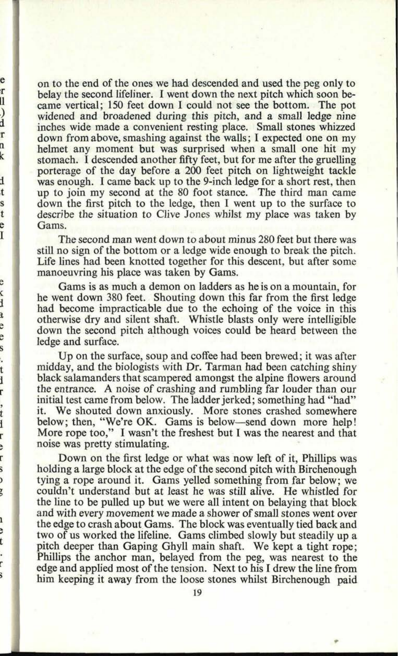on to the end of the ones we had descended and used the peg only to belay the second lifeliner. I went down the next pitch which soon became vertical; 150 feet down I could not see the bottom. The po<sup>t</sup> widened and broadened during this pitch, and a small ledge nine inches wide made a convenient resting place. Small stones whizzed down from above, smashing against the walls; I expected one on my helmet any moment but was surprised when a small one hit my stomach. I descended another fifty feet, but for me after the gruelling porterage of the day before a 200 feet pitch on lightweight tackle was enough. I came back up to the 9-inch ledge for a short rest, then up to join my second at the 80 foot stance. The third man came down the first pitch to the ledge, then I went up to the surface to describe the situation to Clive Jones whilst my place was taken by Gams.

e r II  $\lambda$ d r n k

d t Ś t ė Ī

ċ ł ì e e ś l. t ì r ,<br>t i r  $\ddot{\phantom{0}}$ r s  $\overline{ }$ ŗ

t

ŕ ï

The second man went down to about minus 280 feet but there was still no sign of the bottom or a ledge wide enough to break the pitch. Life lines had been knotted together for this descent, but after some manoeuvring his place was taken by Gams.

Gams is as much a demon on ladders as he is on a mountain, for he went down 380 feet. Shouting down this far from the first ledge had become impracticable due to the echoing of the voice in this otherwise dry and silent shaft. Whistle blasts only were intelligible down the second pitch although voices could be heard between the ledge and surface.

Up on the surface, soup and coffee had been brewed; it was after midday, and the biologists with Dr. Tarman had been catching shiny black salamanders that scampered amongst the alpine flowers around the entrance. A noise of crashing and rumbling far louder than our initial test came from below. The ladder jerked; something had "had" it. We shouted down anxiously. More stones crashed somewhere below; then, "We're OK. Gams is below—send down more help! More rope too," I wasn't the freshest but I was the nearest and that noise was pretty stimulating.

Down on the first ledge or what was now left of it, Phillips was holding a large block at the edge of the second pitch with Birchenough tying a rope around it. Gams yelled something from far below; we couldn't understand but at least he was still alive. He whistled for the line to be pulled up but we were all intent on belaying that block and with every movement we made a shower of small stones went over the edge to crash about Gams. The block was eventually tied back and two of us worked the lifeline. Gams climbed slowly but steadily up <sup>a</sup> pitch deeper than Gaping Ghyll main shaft. We kept a tight rope; Phillips the anchor man, belayed from the peg, was nearest to the edge and applied most of the tension. Next to his I drew the line from him keeping it away from the loose stones whilst Birchenough paid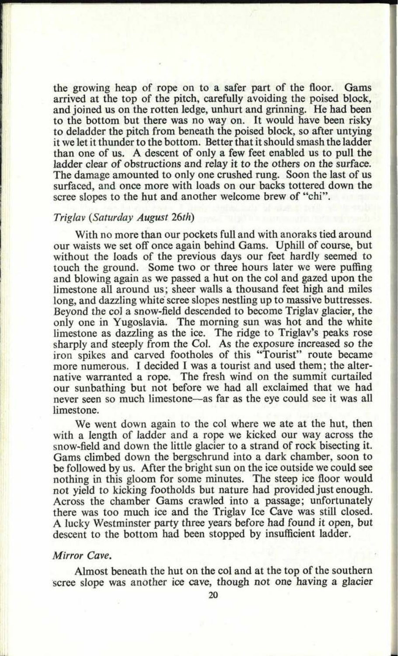the growing heap of rope on to a safer part of the floor. Gams arrived at the top of the pitch, carefully avoiding the poised block, and joined us on the rotten ledge, unhurt and grinning. He had been to the bottom but there was no way on. It would have been risky to deladder the pitch from beneath the poised block, so after untying it we let it thunder to the bottom. Better that it should smash the ladder than one of us. A descent of only a few feet enabled us to pull the ladder clear of obstructions and relay it to the others on the surface. The damage amounted to only one crushed rung. Soon the last of us surfaced, and once more with loads on our backs tottered down the scree slopes to the hut and another welcome brew of "chi".

### *Triglav (Saturday August 26th)*

With no more than our pockets full and with anoraks tied around our waists we set off once again behind Gams. Uphill of course, but without the loads of the previous days our feet hardly seemed to touch the ground. Some two or three hours later we were puffing and blowing again as we passed a hut on the col and gazed upon the limestone all around us; sheer walls a thousand feet high and miles long, and dazzling white scree slopes nestling up to massive buttresses. Beyond the col a snow-field descended to become Triglav glacier, the only one in Yugoslavia. The morning sun was hot and the white limestone as dazzling as the ice. The ridge to Triglav's peaks rose sharply and steeply from the Col. As the exposure increased so the iron spikes and carved footholes of this "Tourist" route became more numerous. I decided I was a tourist and used them; the alternative warranted a rope. The fresh wind on the summit curtailed our sunbathing but not before we had all exclaimed that we had never seen so much limestone-as far as the eye could see it was all limestone.

We went down again to the col where we ate at the hut, then with a length of ladder and a rope we kicked our way across the snow-field and down the little glacier to a strand of rock bisecting it. Gams climbed down the bergschrund into a dark chamber, soon to be followed by us. After the bright sun on the ice outside we could see nothing in this gloom for some minutes. The steep ice floor would not yield to kicking footholds but nature had provided just enough. Across the chamber Gams crawled into a passage; unfortunately there was too much ice and the Triglav Ice Cave was still closed. A lucky Westminster party three years before had found it open, but descent to the bottom had been stopped by insufficient ladder.

# *Mirror Cave.*

Almost beneath the hut on the col and at the top of the southern scree slope was another ice cave, though not one having a glacier